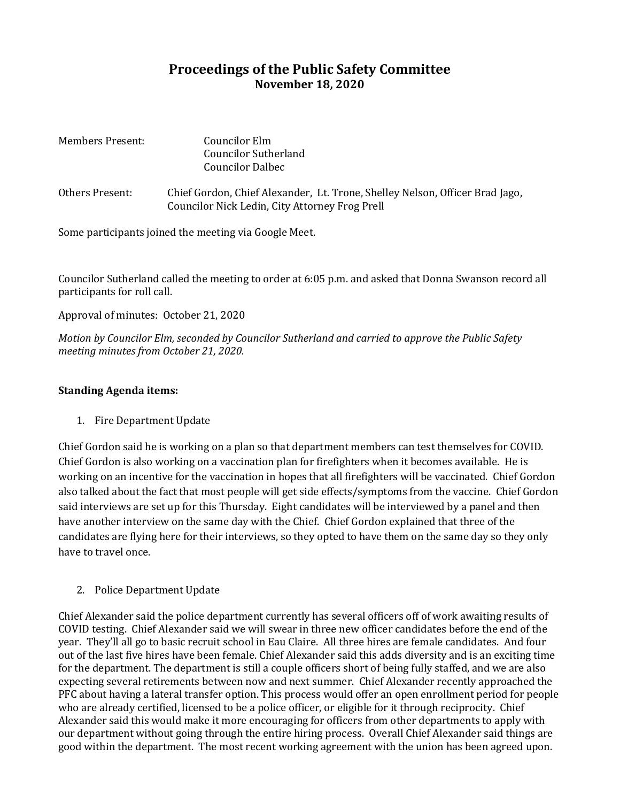## **Proceedings of the Public Safety Committee November 18, 2020**

| <b>Members Present:</b> | Councilor Elm<br>Councilor Sutherland<br>Councilor Dalbec                                                                      |
|-------------------------|--------------------------------------------------------------------------------------------------------------------------------|
| Others Present:         | Chief Gordon, Chief Alexander, Lt. Trone, Shelley Nelson, Officer Brad Jago,<br>Councilor Nick Ledin, City Attorney Frog Prell |

Some participants joined the meeting via Google Meet.

Councilor Sutherland called the meeting to order at 6:05 p.m. and asked that Donna Swanson record all participants for roll call.

Approval of minutes: October 21, 2020

*Motion by Councilor Elm, seconded by Councilor Sutherland and carried to approve the Public Safety meeting minutes from October 21, 2020.*

## **Standing Agenda items:**

1. Fire Department Update

Chief Gordon said he is working on a plan so that department members can test themselves for COVID. Chief Gordon is also working on a vaccination plan for firefighters when it becomes available. He is working on an incentive for the vaccination in hopes that all firefighters will be vaccinated. Chief Gordon also talked about the fact that most people will get side effects/symptoms from the vaccine. Chief Gordon said interviews are set up for this Thursday. Eight candidates will be interviewed by a panel and then have another interview on the same day with the Chief. Chief Gordon explained that three of the candidates are flying here for their interviews, so they opted to have them on the same day so they only have to travel once.

2. Police Department Update

Chief Alexander said the police department currently has several officers off of work awaiting results of COVID testing. Chief Alexander said we will swear in three new officer candidates before the end of the year. They'll all go to basic recruit school in Eau Claire. All three hires are female candidates. And four out of the last five hires have been female. Chief Alexander said this adds diversity and is an exciting time for the department. The department is still a couple officers short of being fully staffed, and we are also expecting several retirements between now and next summer. Chief Alexander recently approached the PFC about having a lateral transfer option. This process would offer an open enrollment period for people who are already certified, licensed to be a police officer, or eligible for it through reciprocity. Chief Alexander said this would make it more encouraging for officers from other departments to apply with our department without going through the entire hiring process. Overall Chief Alexander said things are good within the department. The most recent working agreement with the union has been agreed upon.